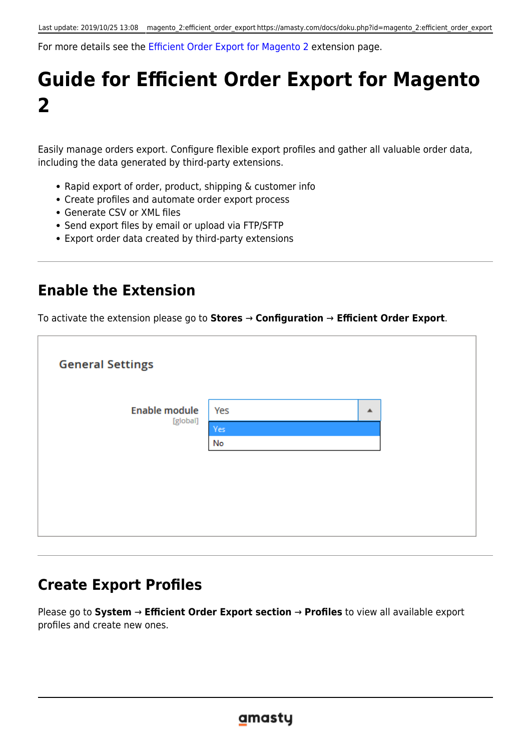For more details see the [Efficient Order Export for Magento 2](https://amasty.com/efficient-order-export-for-magento-2.html) extension page.

# **Guide for Efficient Order Export for Magento 2**

Easily manage orders export. Configure flexible export profiles and gather all valuable order data, including the data generated by third-party extensions.

- Rapid export of order, product, shipping & customer info
- Create profiles and automate order export process
- Generate CSV or XML files
- Send export files by email or upload via FTP/SFTP
- Export order data created by third-party extensions

#### **Enable the Extension**

To activate the extension please go to **Stores** → **Configuration** → **Efficient Order Export**.

| <b>General Settings</b>          |           |   |
|----------------------------------|-----------|---|
| <b>Enable module</b><br>[global] | Yes       | ▲ |
|                                  | Yes<br>No |   |
|                                  |           |   |
|                                  |           |   |
|                                  |           |   |

#### **Create Export Profiles**

Please go to **System** → **Efficient Order Export section** → **Profiles** to view all available export profiles and create new ones.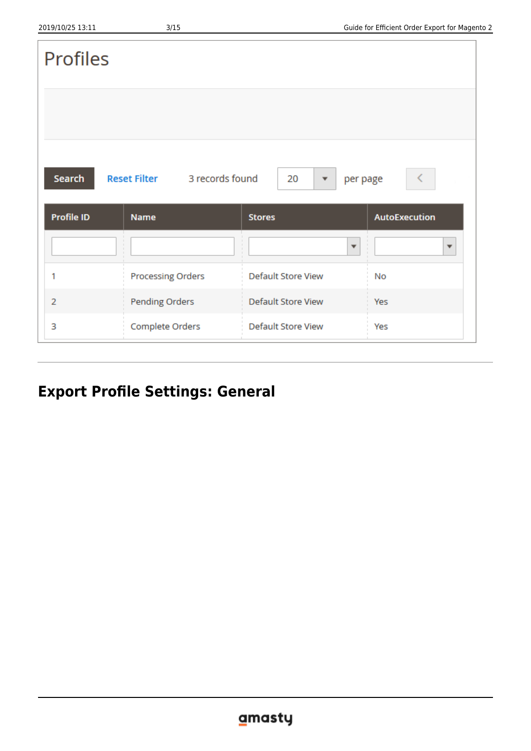| <b>Profiles</b>   |  |                              |                                                |               |  |
|-------------------|--|------------------------------|------------------------------------------------|---------------|--|
|                   |  |                              |                                                |               |  |
| Search            |  | Reset Filter 3 records found | 20<br>per page<br>▼                            |               |  |
| <b>Profile ID</b> |  | <b>Name</b>                  | <b>Stores</b>                                  | AutoExecution |  |
|                   |  |                              | ٠<br>$\overline{\mathbf{v}}$<br>$\mathbb{R}^n$ | ▼             |  |
| 1                 |  | <b>Processing Orders</b>     | <b>Default Store View</b>                      | No            |  |
| $\overline{2}$    |  | <b>Pending Orders</b>        | <b>Default Store View</b>                      | Yes           |  |
| 3                 |  | Complete Orders              | <b>Default Store View</b>                      | Yes           |  |

# **Export Profile Settings: General**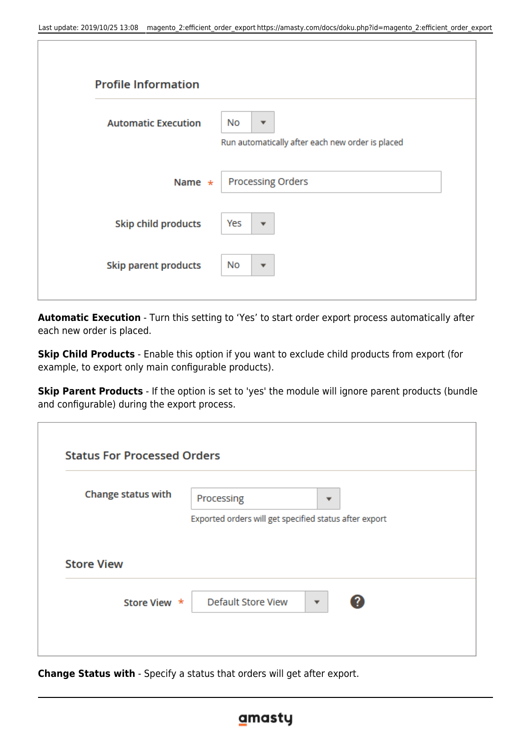| <b>Profile Information</b>  |                                                             |
|-----------------------------|-------------------------------------------------------------|
| <b>Automatic Execution</b>  | No<br>▼<br>Run automatically after each new order is placed |
| Name $\star$                | <b>Processing Orders</b>                                    |
| <b>Skip child products</b>  | Yes<br>$\overline{\mathbf{v}}$                              |
| <b>Skip parent products</b> | No<br>▼                                                     |

**Automatic Execution** - Turn this setting to 'Yes' to start order export process automatically after each new order is placed.

**Skip Child Products** - Enable this option if you want to exclude child products from export (for example, to export only main configurable products).

**Skip Parent Products** - If the option is set to 'yes' the module will ignore parent products (bundle and configurable) during the export process.

| Change status with | Processing<br>▼                                        |
|--------------------|--------------------------------------------------------|
|                    | Exported orders will get specified status after export |
|                    |                                                        |
|                    |                                                        |
|                    |                                                        |
| <b>Store View</b>  |                                                        |
|                    |                                                        |

**Change Status with** - Specify a status that orders will get after export.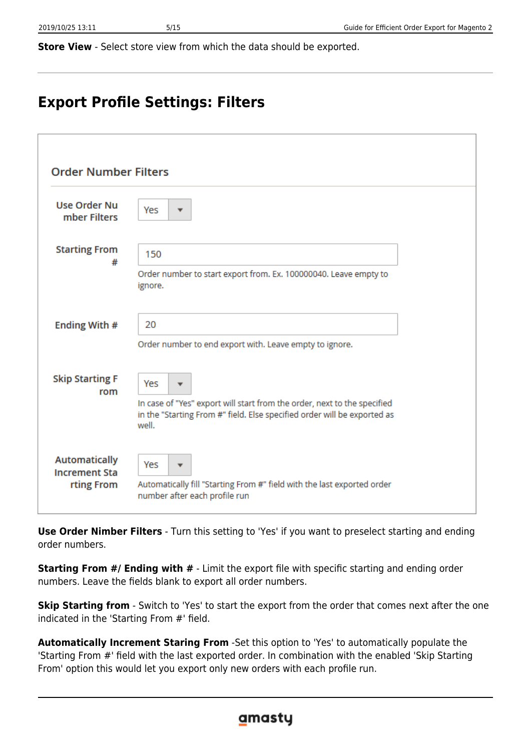**Store View** - Select store view from which the data should be exported.

# **Export Profile Settings: Filters**

| <b>Order Number Filters</b>        |                                                                                                                                                               |
|------------------------------------|---------------------------------------------------------------------------------------------------------------------------------------------------------------|
| Use Order Nu<br>mber Filters       | Yes                                                                                                                                                           |
| <b>Starting From</b><br>#          | 150                                                                                                                                                           |
|                                    | Order number to start export from. Ex. 100000040. Leave empty to<br>ignore.                                                                                   |
| Ending With #                      | 20                                                                                                                                                            |
|                                    | Order number to end export with. Leave empty to ignore.                                                                                                       |
| <b>Skip Starting F</b><br>rom      | Yes<br>$\overline{\phantom{a}}$                                                                                                                               |
|                                    | In case of "Yes" export will start from the order, next to the specified<br>in the "Starting From #" field. Else specified order will be exported as<br>well. |
| <b>Automatically</b>               | Yes<br>$\overline{\phantom{a}}$                                                                                                                               |
| <b>Increment Sta</b><br>rting From | Automatically fill "Starting From #" field with the last exported order<br>number after each profile run                                                      |

**Use Order Nimber Filters** - Turn this setting to 'Yes' if you want to preselect starting and ending order numbers.

**Starting From #/ Ending with #** - Limit the export file with specific starting and ending order numbers. Leave the fields blank to export all order numbers.

**Skip Starting from** - Switch to 'Yes' to start the export from the order that comes next after the one indicated in the 'Starting From #' field.

**Automatically Increment Staring From** -Set this option to 'Yes' to automatically populate the 'Starting From #' field with the last exported order. In combination with the enabled 'Skip Starting From' option this would let you export only new orders with each profile run.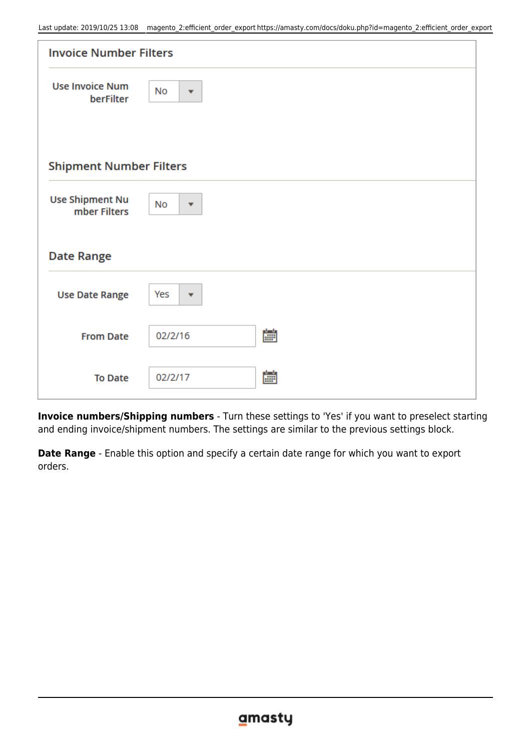| <b>Invoice Number Filters</b>          |                                      |  |  |
|----------------------------------------|--------------------------------------|--|--|
| <b>Use Invoice Num</b><br>berFilter    | <b>No</b><br>$\overline{\mathbf{v}}$ |  |  |
| <b>Shipment Number Filters</b>         |                                      |  |  |
| <b>Use Shipment Nu</b><br>mber Filters | No<br>$\overline{\phantom{a}}$       |  |  |
| <b>Date Range</b>                      |                                      |  |  |
| <b>Use Date Range</b>                  | Yes<br>$\overline{\phantom{a}}$      |  |  |
| <b>From Date</b>                       | 雦<br>02/2/16                         |  |  |
| <b>To Date</b>                         | 齡<br>02/2/17                         |  |  |

**Invoice numbers/Shipping numbers** - Turn these settings to 'Yes' if you want to preselect starting and ending invoice/shipment numbers. The settings are similar to the previous settings block.

**Date Range** - Enable this option and specify a certain date range for which you want to export orders.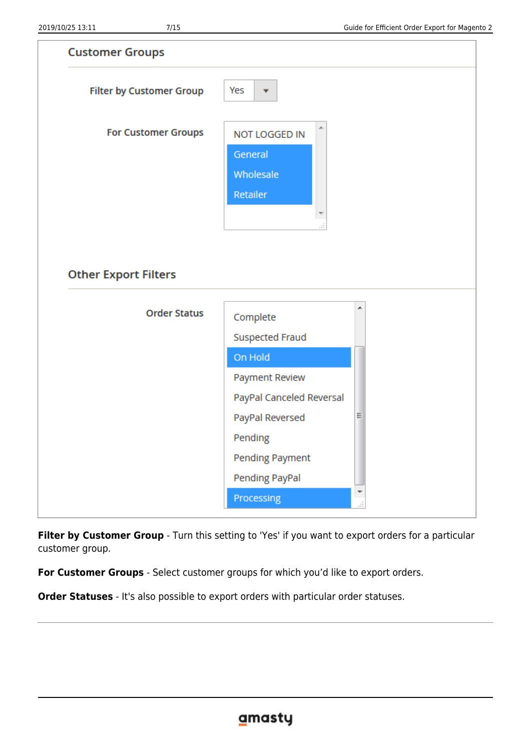| <b>Customer Groups</b>          |                                                        |        |  |
|---------------------------------|--------------------------------------------------------|--------|--|
| <b>Filter by Customer Group</b> | Yes<br>▼                                               |        |  |
| <b>For Customer Groups</b>      | 业<br>NOT LOGGED IN<br>General<br>Wholesale<br>Retailer |        |  |
| <b>Other Export Filters</b>     |                                                        |        |  |
| <b>Order Status</b>             | Complete                                               | ┻      |  |
|                                 | <b>Suspected Fraud</b><br>On Hold                      |        |  |
|                                 | <b>Payment Review</b>                                  |        |  |
|                                 | PayPal Canceled Reversal                               |        |  |
|                                 | PayPal Reversed                                        | Ξ      |  |
|                                 | Pending                                                |        |  |
|                                 | <b>Pending Payment</b>                                 |        |  |
|                                 | Pending PayPal                                         |        |  |
|                                 | Processing                                             | T<br>đ |  |

Filter by Customer Group - Turn this setting to 'Yes' if you want to export orders for a particular customer group.

**For Customer Groups** - Select customer groups for which you'd like to export orders.

**Order Statuses** - It's also possible to export orders with particular order statuses.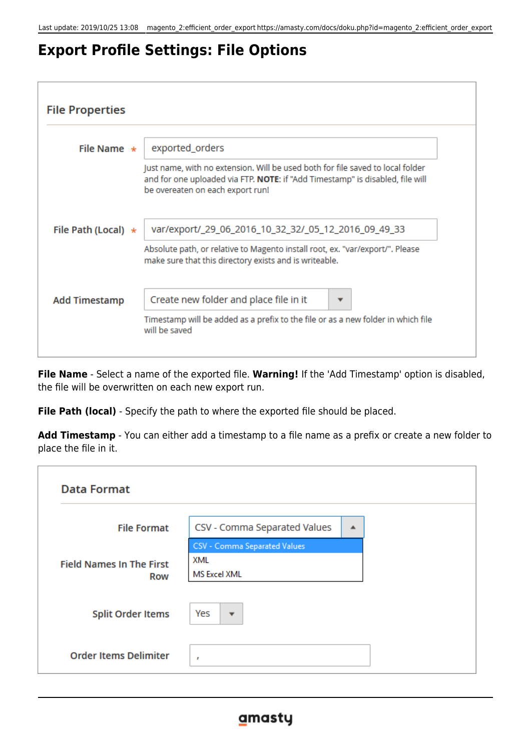### **Export Profile Settings: File Options**



**File Name** - Select a name of the exported file. **Warning!** If the 'Add Timestamp' option is disabled, the file will be overwritten on each new export run.

**File Path (local)** - Specify the path to where the exported file should be placed.

**Add Timestamp** - You can either add a timestamp to a file name as a prefix or create a new folder to place the file in it.

| <b>Data Format</b>                     |                                                     |   |  |
|----------------------------------------|-----------------------------------------------------|---|--|
| <b>File Format</b>                     | CSV - Comma Separated Values                        | ▲ |  |
| <b>Field Names In The First</b><br>Row | CSV - Comma Separated Values<br>XML<br>MS Excel XML |   |  |
| <b>Split Order Items</b>               | Yes<br>$\overline{\mathbf{v}}$                      |   |  |
| <b>Order Items Delimiter</b>           | ×                                                   |   |  |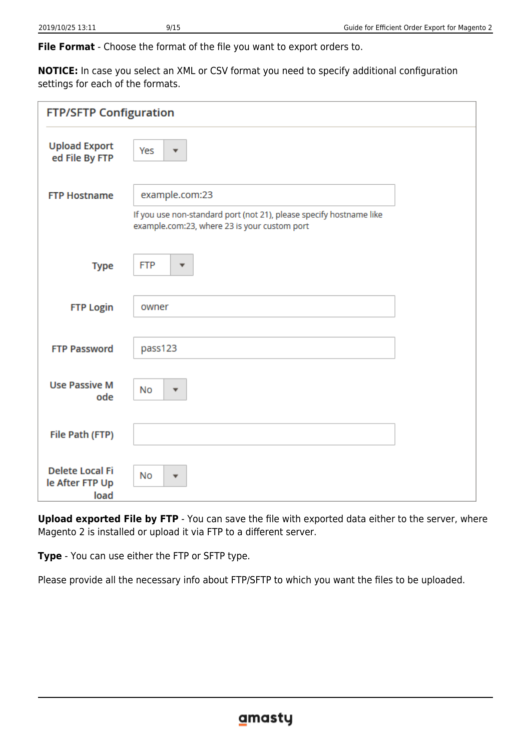**File Format** - Choose the format of the file you want to export orders to.

**NOTICE:** In case you select an XML or CSV format you need to specify additional configuration settings for each of the formats.

| <b>FTP/SFTP Configuration</b>                     |                                                                                                                     |  |  |  |
|---------------------------------------------------|---------------------------------------------------------------------------------------------------------------------|--|--|--|
| <b>Upload Export</b><br>ed File By FTP            | Yes                                                                                                                 |  |  |  |
| <b>FTP Hostname</b>                               | example.com:23                                                                                                      |  |  |  |
|                                                   | If you use non-standard port (not 21), please specify hostname like<br>example.com:23, where 23 is your custom port |  |  |  |
| <b>Type</b>                                       | <b>FTP</b><br>▼                                                                                                     |  |  |  |
| <b>FTP Login</b>                                  | owner                                                                                                               |  |  |  |
| <b>FTP Password</b>                               | pass123                                                                                                             |  |  |  |
| <b>Use Passive M</b><br>ode                       | <b>No</b><br>▼                                                                                                      |  |  |  |
| File Path (FTP)                                   |                                                                                                                     |  |  |  |
| <b>Delete Local Fi</b><br>le After FTP Up<br>load | <b>No</b>                                                                                                           |  |  |  |

**Upload exported File by FTP** - You can save the file with exported data either to the server, where Magento 2 is installed or upload it via FTP to a different server.

**Type** - You can use either the FTP or SFTP type.

Please provide all the necessary info about FTP/SFTP to which you want the files to be uploaded.

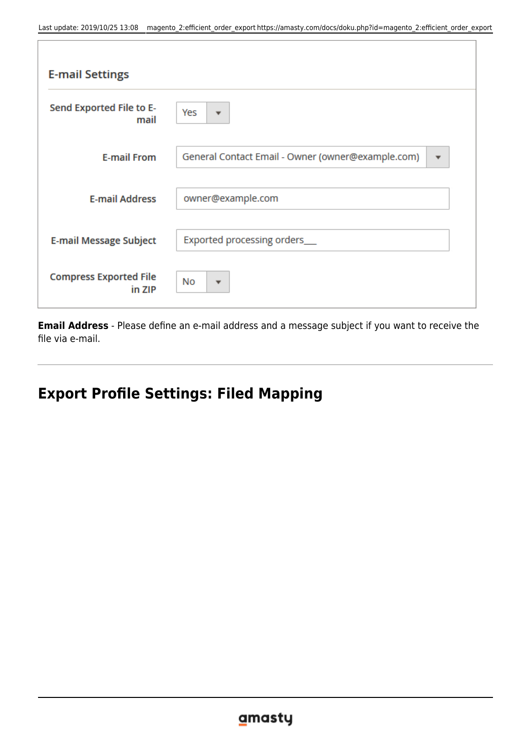| <b>E-mail Settings</b>                  |                                                   |
|-----------------------------------------|---------------------------------------------------|
| Send Exported File to E-<br>mail        | Yes<br>$\overline{\mathbf{v}}$                    |
| <b>E-mail From</b>                      | General Contact Email - Owner (owner@example.com) |
| <b>E-mail Address</b>                   | owner@example.com                                 |
| <b>E-mail Message Subject</b>           | Exported processing orders_                       |
| <b>Compress Exported File</b><br>in ZIP | No<br>$\overline{\mathbf{v}}$                     |

**Email Address** - Please define an e-mail address and a message subject if you want to receive the file via e-mail.

# **Export Profile Settings: Filed Mapping**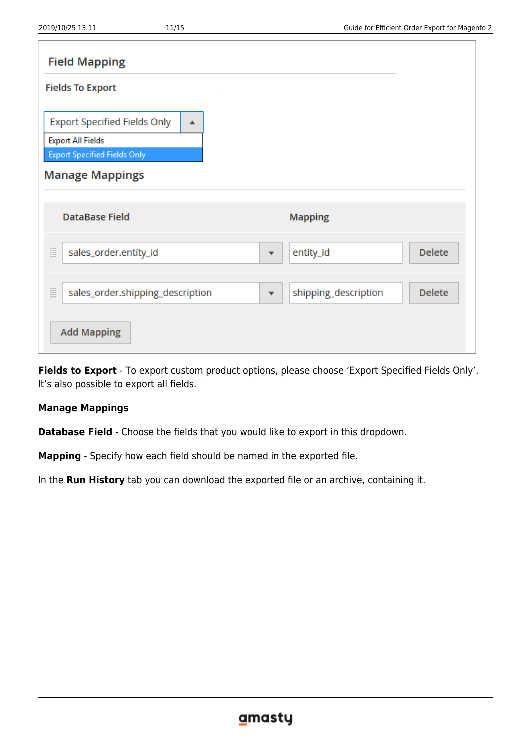| <b>Field Mapping</b>                                                                                                                  |                                                                  |
|---------------------------------------------------------------------------------------------------------------------------------------|------------------------------------------------------------------|
| <b>Fields To Export</b>                                                                                                               |                                                                  |
| <b>Export Specified Fields Only</b><br>▲<br><b>Export All Fields</b><br><b>Export Specified Fields Only</b><br><b>Manage Mappings</b> |                                                                  |
| <b>DataBase Field</b>                                                                                                                 | <b>Mapping</b>                                                   |
| 甾<br>sales_order.entity_id                                                                                                            | entity_id<br><b>Delete</b><br>$\overline{\mathbf v}$             |
| 目<br>sales_order.shipping_description                                                                                                 | shipping_description<br><b>Delete</b><br>$\overline{\mathbf{v}}$ |
| <b>Add Mapping</b>                                                                                                                    |                                                                  |

**Fields to Export** - To export custom product options, please choose 'Export Specified Fields Only'. It's also possible to export all fields.

#### **Manage Mappings**

**Database Field** - Choose the fields that you would like to export in this dropdown.

**Mapping** - Specify how each field should be named in the exported file.

In the **Run History** tab you can download the exported file or an archive, containing it.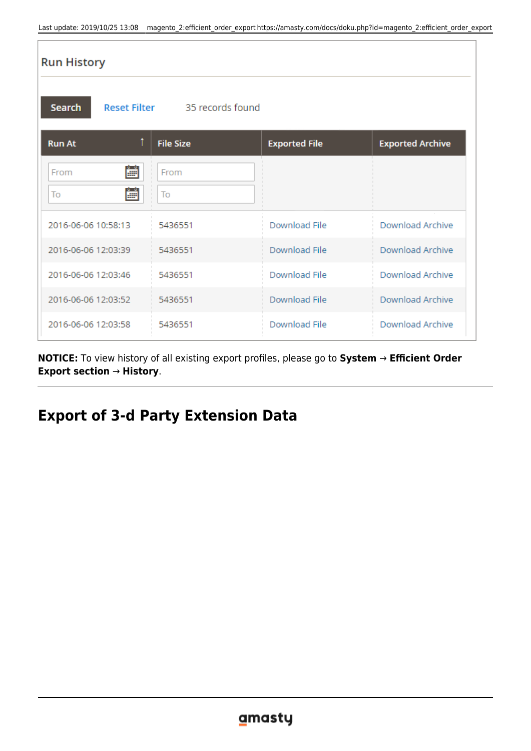| <b>Run History</b>  |                               |                      |                         |  |
|---------------------|-------------------------------|----------------------|-------------------------|--|
| Search              | Reset Filter 35 records found |                      |                         |  |
| <b>Run At</b>       | <b>File Size</b>              | <b>Exported File</b> | <b>Exported Archive</b> |  |
| 鸕<br>From           | From                          |                      |                         |  |
| 鸕<br>To             | To                            |                      |                         |  |
| 2016-06-06 10:58:13 | 5436551                       | Download File        | Download Archive        |  |
| 2016-06-06 12:03:39 | 5436551                       | Download File        | Download Archive        |  |
| 2016-06-06 12:03:46 | 5436551                       | Download File        | Download Archive        |  |
| 2016-06-06 12:03:52 | 5436551                       | Download File        | Download Archive        |  |
| 2016-06-06 12:03:58 | 5436551                       | Download File        | Download Archive        |  |

**NOTICE:** To view history of all existing export profiles, please go to **System** → **Efficient Order Export section** → **History**.

## **Export of 3-d Party Extension Data**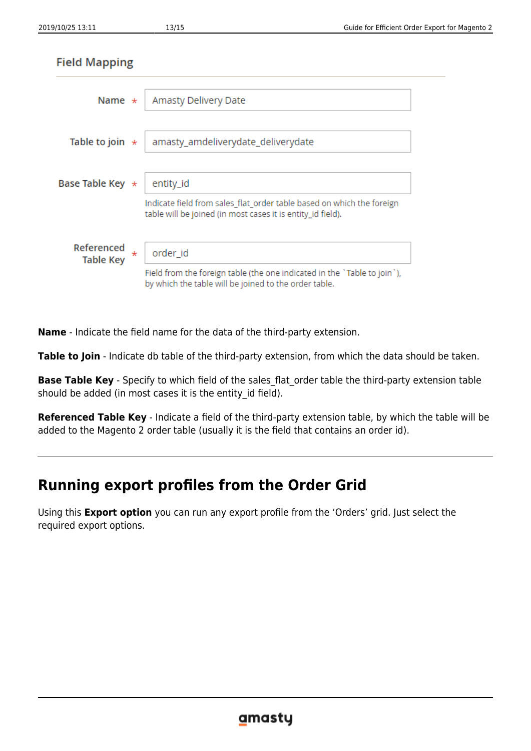| <b>Field Mapping</b>           |         |                                                                                                                                      |  |  |  |  |  |
|--------------------------------|---------|--------------------------------------------------------------------------------------------------------------------------------------|--|--|--|--|--|
|                                |         |                                                                                                                                      |  |  |  |  |  |
| Name $\star$                   |         | Amasty Delivery Date                                                                                                                 |  |  |  |  |  |
|                                |         |                                                                                                                                      |  |  |  |  |  |
| Table to join $*$              |         | amasty_amdeliverydate_deliverydate                                                                                                   |  |  |  |  |  |
|                                |         |                                                                                                                                      |  |  |  |  |  |
| Base Table Key $\star$         |         | entity_id                                                                                                                            |  |  |  |  |  |
|                                |         | Indicate field from sales_flat_order table based on which the foreign<br>table will be joined (in most cases it is entity_id field). |  |  |  |  |  |
| Referenced<br><b>Table Key</b> | $\star$ | order_id                                                                                                                             |  |  |  |  |  |
|                                |         | Field from the foreign table (the one indicated in the 'Table to join'),<br>by which the table will be joined to the order table.    |  |  |  |  |  |

**Name** - Indicate the field name for the data of the third-party extension.

**Table to Join** - Indicate db table of the third-party extension, from which the data should be taken.

**Base Table Key** - Specify to which field of the sales\_flat\_order table the third-party extension table should be added (in most cases it is the entity id field).

**Referenced Table Key** - Indicate a field of the third-party extension table, by which the table will be added to the Magento 2 order table (usually it is the field that contains an order id).

## **Running export profiles from the Order Grid**

Using this **Export option** you can run any export profile from the 'Orders' grid. Just select the required export options.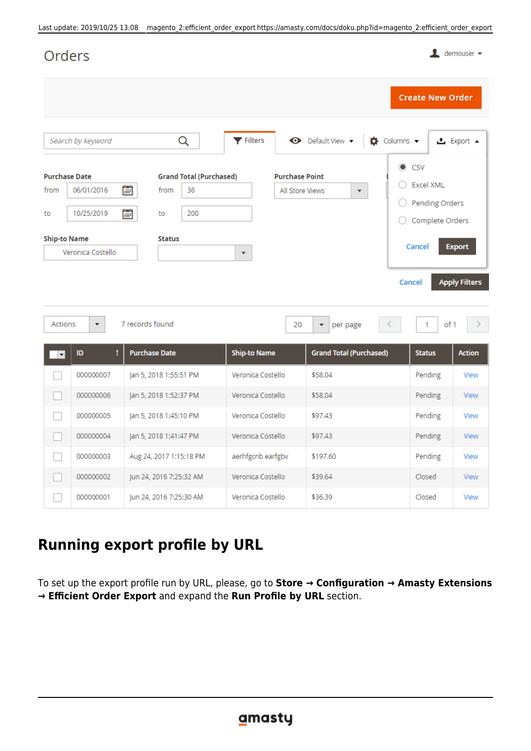|                          | Orders                                                                                                               |                                                                       |                                                          |                                                |                                                                 |            |                                                                                        | $\mathbf{\mathbf{L}}$ demouser $\mathbf{\star}$ |
|--------------------------|----------------------------------------------------------------------------------------------------------------------|-----------------------------------------------------------------------|----------------------------------------------------------|------------------------------------------------|-----------------------------------------------------------------|------------|----------------------------------------------------------------------------------------|-------------------------------------------------|
|                          |                                                                                                                      |                                                                       |                                                          |                                                |                                                                 |            | <b>Create New Order</b>                                                                |                                                 |
|                          | Search by keyword                                                                                                    | Q                                                                     |                                                          | $\blacktriangledown$ Filters                   | <b>←</b> Default View ▼                                         | Columns v  |                                                                                        | ▲ Export ▲                                      |
| from<br>to<br>Actions    | <b>Purchase Date</b><br>06/01/2016<br>10/25/2019<br><b>Ship-to Name</b><br>Veronica Costello<br>$\blacktriangledown$ | 齸<br>from<br>36<br>雦<br>200<br>to<br><b>Status</b><br>7 records found | <b>Grand Total (Purchased)</b><br>$\overline{\mathbf v}$ | <b>Purchase Point</b><br>All Store Views<br>20 | $\overline{\mathbf{v}}$<br>$\overline{\phantom{a}}$<br>per page | $_{\odot}$ | CSV<br>Excel XML<br>Pending Orders<br>Complete Orders<br>Cancel<br>Cancel<br>of 1<br>1 | <b>Export</b><br><b>Apply Filters</b>           |
| $\vert \mathbf{v} \vert$ | ID                                                                                                                   | <b>Purchase Date</b>                                                  |                                                          | <b>Ship-to Name</b>                            | <b>Grand Total (Purchased)</b>                                  |            | <b>Status</b>                                                                          | <b>Action</b>                                   |
|                          | 000000007                                                                                                            | Jan 5, 2018 1:55:51 PM                                                |                                                          | Veronica Costello                              | \$58.04                                                         |            | Pending                                                                                | View                                            |
|                          | 000000006                                                                                                            | Jan 5, 2018 1:52:37 PM                                                |                                                          | Veronica Costello                              | \$58.04                                                         |            | Pending                                                                                | View                                            |
|                          | 000000005                                                                                                            | Jan 5, 2018 1:45:10 PM                                                |                                                          | Veronica Costello                              | \$97.43                                                         |            | Pending                                                                                | View                                            |
| $\Box$                   | 000000004                                                                                                            | Jan 5, 2018 1:41:47 PM                                                |                                                          | Veronica Costello                              | \$97.43                                                         |            | Pending                                                                                | View                                            |
|                          | 000000003                                                                                                            | Aug 24, 2017 1:15:18 PM                                               |                                                          | aerhfgcnb earfgbv                              | \$197.60                                                        |            | Pending                                                                                | View                                            |
| $\overline{\phantom{a}}$ | 000000002                                                                                                            | Jun 24, 2016 7:25:32 AM                                               |                                                          | Veronica Costello                              | \$39.64                                                         |            | Closed                                                                                 | View                                            |
|                          | 000000001                                                                                                            | Jun 24, 2016 7:25:30 AM                                               |                                                          | Veronica Costello                              | \$36.39                                                         |            | Closed                                                                                 | View                                            |

# **Running export profile by URL**

To set up the export profile run by URL, please, go to **Store → Configuration → Amasty Extensions → Efficient Order Export** and expand the **Run Profile by URL** section.